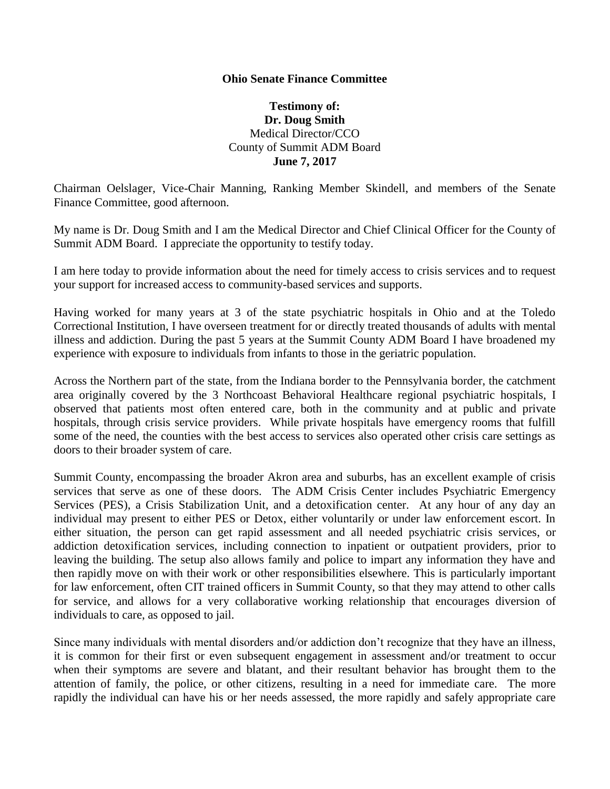## **Ohio Senate Finance Committee**

## **Testimony of: Dr. Doug Smith** Medical Director/CCO County of Summit ADM Board **June 7, 2017**

Chairman Oelslager, Vice-Chair Manning, Ranking Member Skindell, and members of the Senate Finance Committee, good afternoon.

My name is Dr. Doug Smith and I am the Medical Director and Chief Clinical Officer for the County of Summit ADM Board. I appreciate the opportunity to testify today.

I am here today to provide information about the need for timely access to crisis services and to request your support for increased access to community-based services and supports.

Having worked for many years at 3 of the state psychiatric hospitals in Ohio and at the Toledo Correctional Institution, I have overseen treatment for or directly treated thousands of adults with mental illness and addiction. During the past 5 years at the Summit County ADM Board I have broadened my experience with exposure to individuals from infants to those in the geriatric population.

Across the Northern part of the state, from the Indiana border to the Pennsylvania border, the catchment area originally covered by the 3 Northcoast Behavioral Healthcare regional psychiatric hospitals, I observed that patients most often entered care, both in the community and at public and private hospitals, through crisis service providers. While private hospitals have emergency rooms that fulfill some of the need, the counties with the best access to services also operated other crisis care settings as doors to their broader system of care.

Summit County, encompassing the broader Akron area and suburbs, has an excellent example of crisis services that serve as one of these doors. The ADM Crisis Center includes Psychiatric Emergency Services (PES), a Crisis Stabilization Unit, and a detoxification center. At any hour of any day an individual may present to either PES or Detox, either voluntarily or under law enforcement escort. In either situation, the person can get rapid assessment and all needed psychiatric crisis services, or addiction detoxification services, including connection to inpatient or outpatient providers, prior to leaving the building. The setup also allows family and police to impart any information they have and then rapidly move on with their work or other responsibilities elsewhere. This is particularly important for law enforcement, often CIT trained officers in Summit County, so that they may attend to other calls for service, and allows for a very collaborative working relationship that encourages diversion of individuals to care, as opposed to jail.

Since many individuals with mental disorders and/or addiction don't recognize that they have an illness, it is common for their first or even subsequent engagement in assessment and/or treatment to occur when their symptoms are severe and blatant, and their resultant behavior has brought them to the attention of family, the police, or other citizens, resulting in a need for immediate care. The more rapidly the individual can have his or her needs assessed, the more rapidly and safely appropriate care